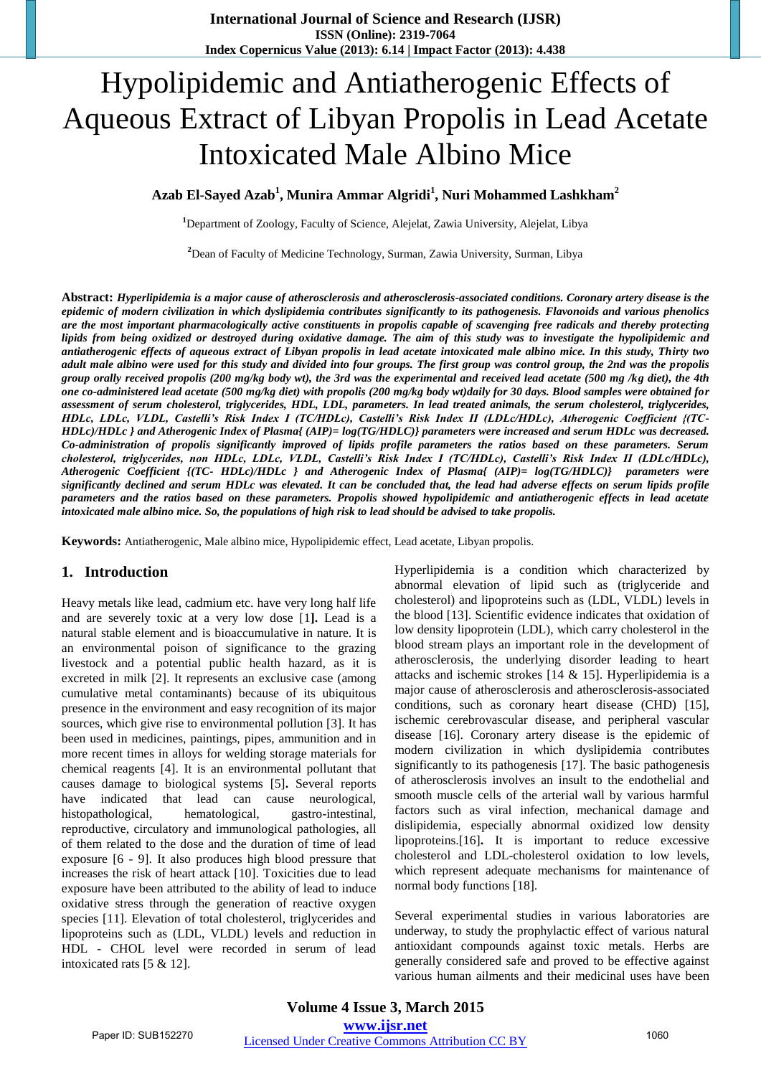# Hypolipidemic and Antiatherogenic Effects of Aqueous Extract of Libyan Propolis in Lead Acetate Intoxicated Male Albino Mice

**Azab El-Sayed Azab<sup>1</sup> , Munira Ammar Algridi<sup>1</sup> , Nuri Mohammed Lashkham<sup>2</sup>**

**<sup>1</sup>**Department of Zoology, Faculty of Science, Alejelat, Zawia University, Alejelat, Libya

**<sup>2</sup>**Dean of Faculty of Medicine Technology, Surman, Zawia University, Surman, Libya

**Abstract:** *Hyperlipidemia is a major cause of atherosclerosis and atherosclerosis-associated conditions. Coronary artery disease is the epidemic of modern civilization in which dyslipidemia contributes significantly to its pathogenesis. Flavonoids and various phenolics are the most important pharmacologically active constituents in propolis capable of scavenging free radicals and thereby protecting lipids from being oxidized or destroyed during oxidative damage. The aim of this study was to investigate the hypolipidemic and antiatherogenic effects of aqueous extract of Libyan propolis in lead acetate intoxicated male albino mice. In this study, Thirty two adult male albino were used for this study and divided into four groups. The first group was control group, the 2nd was the propolis group orally received propolis (200 mg/kg body wt), the 3rd was the experimental and received lead acetate (500 mg /kg diet), the 4th one co-administered lead acetate (500 mg/kg diet) with propolis (200 mg/kg body wt)daily for 30 days. Blood samples were obtained for assessment of serum cholesterol, triglycerides, HDL, LDL, parameters. In lead treated animals, the serum cholesterol, triglycerides, HDLc, LDLc, VLDL, Castelli's Risk Index I (TC/HDLc), Castelli's Risk Index II (LDLc/HDLc), Atherogenic Coefficient {(TC-HDLc)/HDLc } and Atherogenic Index of Plasma{ (AIP)= log(TG/HDLC)} parameters were increased and serum HDLc was decreased. Co-administration of propolis significantly improved of lipids profile parameters the ratios based on these parameters. Serum cholesterol, triglycerides, non HDLc, LDLc, VLDL, Castelli's Risk Index I (TC/HDLc), Castelli's Risk Index II (LDLc/HDLc), Atherogenic Coefficient {(TC- HDLc)/HDLc } and Atherogenic Index of Plasma{ (AIP)= log(TG/HDLC)} parameters were significantly declined and serum HDLc was elevated. It can be concluded that, the lead had adverse effects on serum lipids profile parameters and the ratios based on these parameters. Propolis showed hypolipidemic and antiatherogenic effects in lead acetate intoxicated male albino mice. So, the populations of high risk to lead should be advised to take propolis.* 

**Keywords:** Antiatherogenic, Male albino mice, Hypolipidemic effect, Lead acetate, Libyan propolis.

# **1. Introduction**

Heavy metals like lead, cadmium etc. have very long half life and are severely toxic at a very low dose [1**].** Lead is a natural stable element and is bioaccumulative in nature. It is an environmental poison of significance to the grazing livestock and a potential public health hazard, as it is excreted in milk [2]. It represents an exclusive case (among cumulative metal contaminants) because of its ubiquitous presence in the environment and easy recognition of its major sources, which give rise to environmental pollution [3]. It has been used in medicines, paintings, pipes, ammunition and in more recent times in alloys for welding storage materials for chemical reagents [4]. It is an environmental pollutant that causes damage to biological systems [5]**.** Several reports have indicated that lead can cause neurological, histopathological, hematological, gastro-intestinal, reproductive, circulatory and immunological pathologies, all of them related to the dose and the duration of time of lead exposure [6 - 9]. It also produces high blood pressure that increases the risk of heart attack [10]. Toxicities due to lead exposure have been attributed to the ability of lead to induce oxidative stress through the generation of reactive oxygen species [11]. Elevation of total cholesterol, triglycerides and lipoproteins such as (LDL, VLDL) levels and reduction in HDL - CHOL level were recorded in serum of lead intoxicated rats [5 & 12].

Hyperlipidemia is a condition which characterized by abnormal elevation of lipid such as (triglyceride and cholesterol) and lipoproteins such as (LDL, VLDL) levels in the blood [13]. Scientific evidence indicates that oxidation of low density lipoprotein (LDL), which carry cholesterol in the blood stream plays an important role in the development of atherosclerosis, the underlying disorder leading to heart attacks and ischemic strokes [14 & 15]. Hyperlipidemia is a major cause of atherosclerosis and atherosclerosis-associated conditions, such as coronary heart disease (CHD) [15], ischemic cerebrovascular disease, and peripheral vascular disease [16]. Coronary artery disease is the epidemic of modern civilization in which dyslipidemia contributes significantly to its pathogenesis [17]. The basic pathogenesis of atherosclerosis involves an insult to the endothelial and smooth muscle cells of the arterial wall by various harmful factors such as viral infection, mechanical damage and dislipidemia, especially abnormal oxidized low density lipoproteins.[16]**.** It is important to reduce excessive cholesterol and LDL-cholesterol oxidation to low levels, which represent adequate mechanisms for maintenance of normal body functions [18].

Several experimental studies in various laboratories are underway, to study the prophylactic effect of various natural antioxidant compounds against toxic metals. Herbs are generally considered safe and proved to be effective against various human ailments and their medicinal uses have been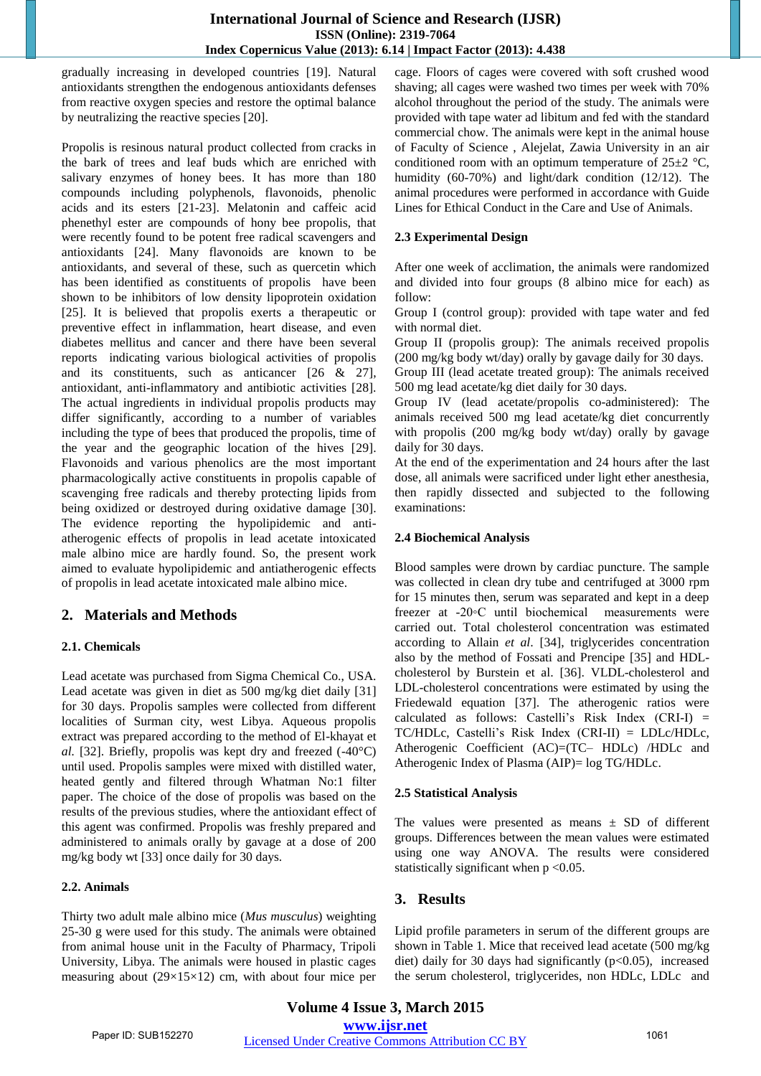gradually increasing in developed countries [19]. Natural antioxidants strengthen the endogenous antioxidants defenses from reactive oxygen species and restore the optimal balance by neutralizing the reactive species [20].

Propolis is resinous natural product collected from cracks in the bark of trees and leaf buds which are enriched with salivary enzymes of honey bees. It has more than 180 compounds including polyphenols, flavonoids, phenolic acids and its esters [21-23]. Melatonin and caffeic acid phenethyl ester are compounds of hony bee propolis, that were recently found to be potent free radical scavengers and antioxidants [24]. Many flavonoids are known to be antioxidants, and several of these, such as quercetin which has been identified as constituents of propolis have been shown to be inhibitors of low density lipoprotein oxidation [25]. It is believed that propolis exerts a therapeutic or preventive effect in inflammation, heart disease, and even diabetes mellitus and cancer and there have been several reports indicating various biological activities of propolis and its constituents, such as anticancer [26 & 27], antioxidant, anti-inflammatory and antibiotic activities [28]. The actual ingredients in individual propolis products may differ significantly, according to a number of variables including the type of bees that produced the propolis, time of the year and the geographic location of the hives [29]. Flavonoids and various phenolics are the most important pharmacologically active constituents in propolis capable of scavenging free radicals and thereby protecting lipids from being oxidized or destroyed during oxidative damage [30]. The evidence reporting the hypolipidemic and antiatherogenic effects of propolis in lead acetate intoxicated male albino mice are hardly found. So, the present work aimed to evaluate hypolipidemic and antiatherogenic effects of propolis in lead acetate intoxicated male albino mice.

# **2. Materials and Methods**

# **2.1. Chemicals**

Lead acetate was purchased from Sigma Chemical Co., USA. Lead acetate was given in diet as 500 mg/kg diet daily [31] for 30 days. Propolis samples were collected from different localities of Surman city, west Libya. Aqueous propolis extract was prepared according to the method of El-khayat et *al.* [32]. Briefly, propolis was kept dry and freezed (-40°C) until used. Propolis samples were mixed with distilled water, heated gently and filtered through Whatman No:1 filter paper. The choice of the dose of propolis was based on the results of the previous studies, where the antioxidant effect of this agent was confirmed. Propolis was freshly prepared and administered to animals orally by gavage at a dose of 200 mg/kg body wt [33] once daily for 30 days.

# **2.2. Animals**

Thirty two adult male albino mice (*Mus musculus*) weighting 25-30 g were used for this study. The animals were obtained from animal house unit in the Faculty of Pharmacy, Tripoli University, Libya. The animals were housed in plastic cages measuring about (29×15×12) cm, with about four mice per

cage. Floors of cages were covered with soft crushed wood shaving; all cages were washed two times per week with 70% alcohol throughout the period of the study. The animals were provided with tape water ad libitum and fed with the standard commercial chow. The animals were kept in the animal house of Faculty of Science , Alejelat, Zawia University in an air conditioned room with an optimum temperature of  $25\pm2$  °C, humidity (60-70%) and light/dark condition (12/12). The animal procedures were performed in accordance with Guide Lines for Ethical Conduct in the Care and Use of Animals.

# **2.3 Experimental Design**

After one week of acclimation, the animals were randomized and divided into four groups (8 albino mice for each) as follow:

Group I (control group): provided with tape water and fed with normal diet.

Group II (propolis group): The animals received propolis (200 mg/kg body wt/day) orally by gavage daily for 30 days. Group III (lead acetate treated group): The animals received

500 mg lead acetate/kg diet daily for 30 days.

Group IV (lead acetate/propolis co-administered): The animals received 500 mg lead acetate/kg diet concurrently with propolis (200 mg/kg body wt/day) orally by gavage daily for 30 days.

At the end of the experimentation and 24 hours after the last dose, all animals were sacrificed under light ether anesthesia, then rapidly dissected and subjected to the following examinations:

# **2.4 Biochemical Analysis**

Blood samples were drown by cardiac puncture. The sample was collected in clean dry tube and centrifuged at 3000 rpm for 15 minutes then, serum was separated and kept in a deep freezer at -20◦C until biochemical measurements were carried out. Total cholesterol concentration was estimated according to Allain *et al*. [34], triglycerides concentration also by the method of Fossati and Prencipe [35] and HDLcholesterol by Burstein et al. [36]. VLDL-cholesterol and LDL-cholesterol concentrations were estimated by using the Friedewald equation [37]. The atherogenic ratios were calculated as follows: Castelli's Risk Index (CRI-I) = TC/HDLc, Castelli's Risk Index (CRI-II) = LDLc/HDLc, Atherogenic Coefficient (AC)=(TC– HDLc) /HDLc and Atherogenic Index of Plasma (AIP)= log TG/HDLc.

# **2.5 Statistical Analysis**

The values were presented as means  $\pm$  SD of different groups. Differences between the mean values were estimated using one way ANOVA. The results were considered statistically significant when  $p < 0.05$ .

# **3. Results**

Lipid profile parameters in serum of the different groups are shown in Table 1. Mice that received lead acetate (500 mg/kg diet) daily for 30 days had significantly  $(p<0.05)$ , increased the serum cholesterol, triglycerides, non HDLc, LDLc and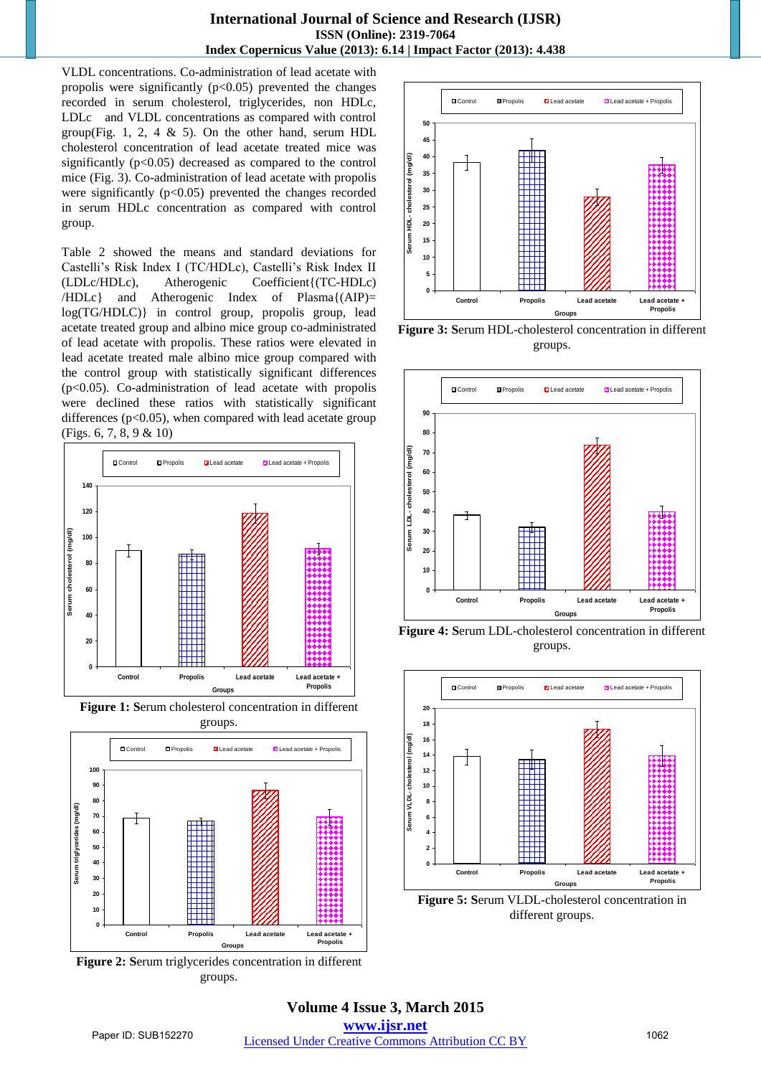VLDL concentrations. Co-administration of lead acetate with propolis were significantly  $(p<0.05)$  prevented the changes recorded in serum cholesterol, triglycerides, non HDLc, LDLc and VLDL concentrations as compared with control group(Fig. 1, 2, 4  $\&$  5). On the other hand, serum HDL cholesterol concentration of lead acetate treated mice was significantly  $(p<0.05)$  decreased as compared to the control mice (Fig. 3). Co-administration of lead acetate with propolis were significantly  $(p<0.05)$  prevented the changes recorded in serum HDLc concentration as compared with control group.

Table 2 showed the means and standard deviations for Castelli's Risk Index I (TC/HDLc), Castelli's Risk Index II (LDLc/HDLc), Atherogenic Coefficient{(TC-HDLc) /HDLc} and Atherogenic Index of Plasma{(AIP)= log(TG/HDLC)} in control group, propolis group, lead acetate treated group and albino mice group co-administrated of lead acetate with propolis. These ratios were elevated in lead acetate treated male albino mice group compared with the control group with statistically significant differences (p<0.05). Co-administration of lead acetate with propolis were declined these ratios with statistically significant differences ( $p<0.05$ ), when compared with lead acetate group (Figs. 6, 7, 8, 9 & 10)



**Figure 1: S**erum cholesterol concentration in different groups.



**Figure 2: S**erum triglycerides concentration in different groups.



**Figure 3: S**erum HDL-cholesterol concentration in different groups.



**Figure 4: S**erum LDL-cholesterol concentration in different groups.



**Figure 5: S**erum VLDL-cholesterol concentration in different groups.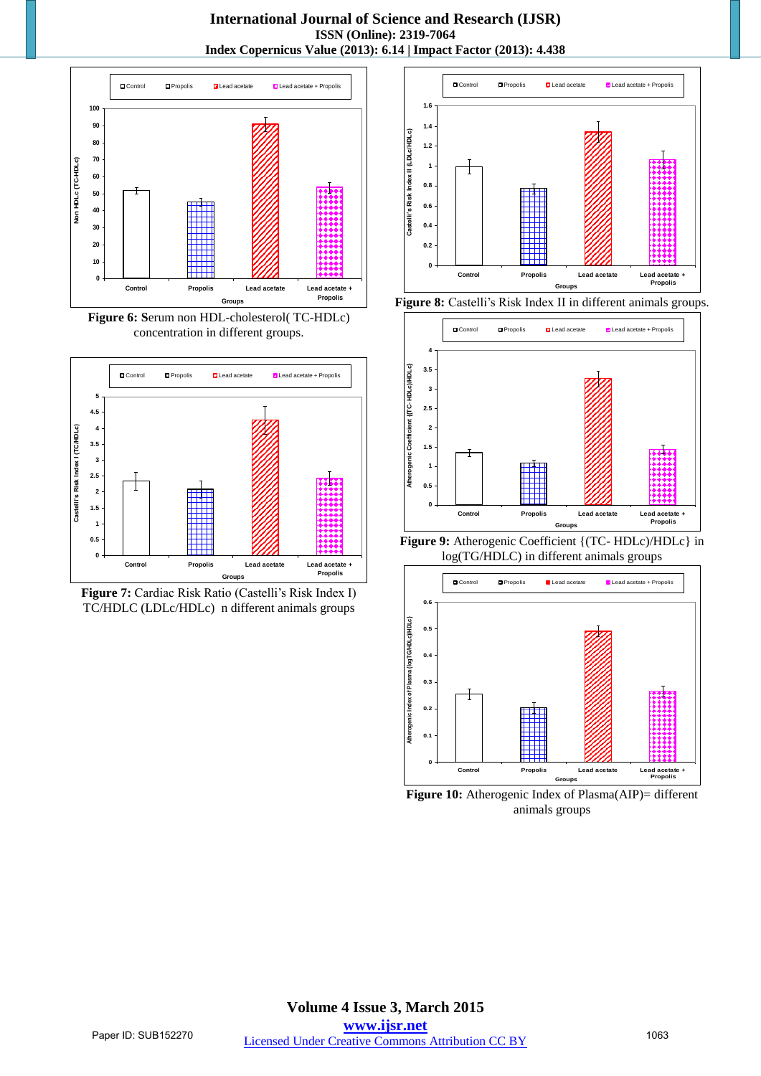**International Journal of Science and Research (IJSR) ISSN (Online): 2319-7064 Index Copernicus Value (2013): 6.14 | Impact Factor (2013): 4.438** 



**Figure 6: S**erum non HDL-cholesterol( TC-HDLc) concentration in different groups.









**Figure 9:** Atherogenic Coefficient {(TC- HDLc)/HDLc} in log(TG/HDLC) in different animals groups



**Figure 10:** Atherogenic Index of Plasma(AIP)= different animals groups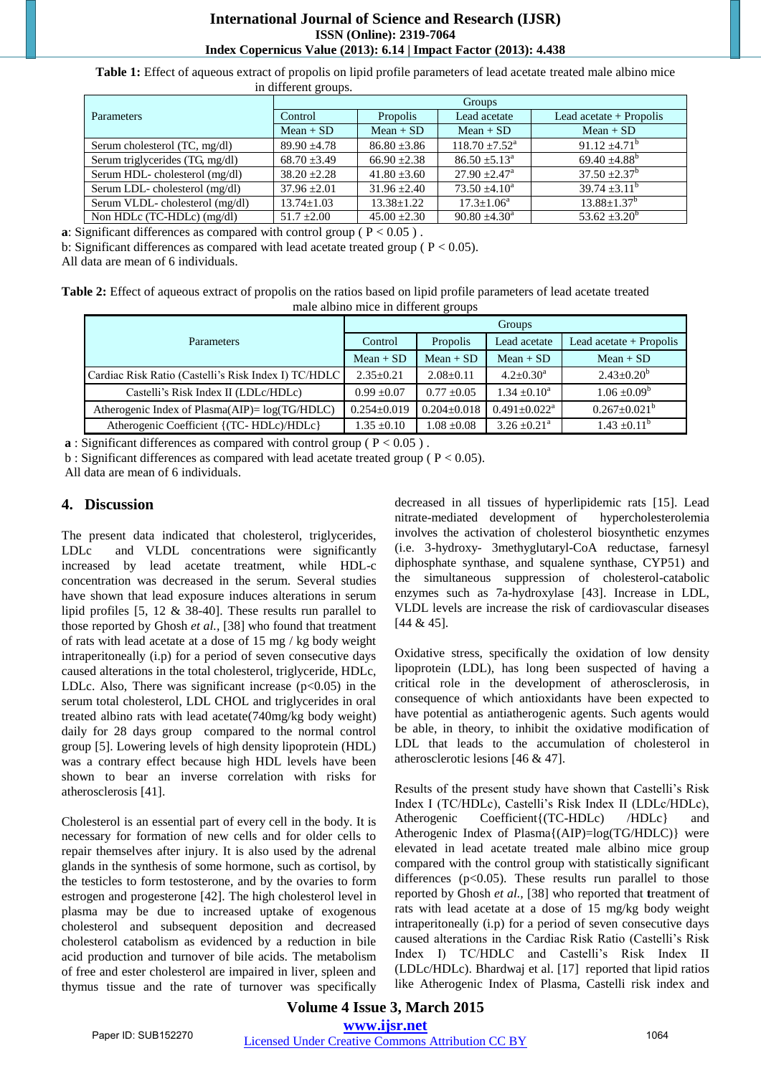#### **International Journal of Science and Research (IJSR) ISSN (Online): 2319-7064 Index Copernicus Value (2013): 6.14 | Impact Factor (2013): 4.438**

**Table 1:** Effect of aqueous extract of propolis on lipid profile parameters of lead acetate treated male albino mice in different groups.

|                                 | Groups           |                  |                             |                           |  |  |
|---------------------------------|------------------|------------------|-----------------------------|---------------------------|--|--|
| Parameters                      | Control          | Propolis         | Lead acetate                | Lead acetate $+$ Propolis |  |  |
|                                 | $Mean + SD$      | $Mean + SD$      | $Mean + SD$                 | $Mean + SD$               |  |  |
| Serum cholesterol (TC, mg/dl)   | $89.90 + 4.78$   | $86.80 + 3.86$   | $118.70 + 7.52^{\text{a}}$  | $91.12 + 4.71^b$          |  |  |
| Serum triglycerides (TG, mg/dl) | $68.70 \pm 3.49$ | $66.90 + 2.38$   | $86.50 + 5.13a$             | 69.40 $\pm 4.88^{\rm b}$  |  |  |
| Serum HDL- cholesterol (mg/dl)  | $38.20 + 2.28$   | $41.80 \pm 3.60$ | $27.90 + 2.47$ <sup>a</sup> | $37.50 \pm 2.37^b$        |  |  |
| Serum LDL-cholesterol (mg/dl)   | $37.96 + 2.01$   | $31.96 + 2.40$   | $73.50 + 4.10a$             | $39.74 + 3.11^b$          |  |  |
| Serum VLDL- cholesterol (mg/dl) | $13.74 \pm 1.03$ | $13.38 \pm 1.22$ | $17.3 + 1.06^a$             | $13.88 + 1.37^b$          |  |  |
| Non HDLc (TC-HDLc) (mg/dl)      | $51.7 \pm 2.00$  | $45.00 \pm 2.30$ | $90.80 \pm 4.30^{\circ}$    | $53.62 + 3.20^b$          |  |  |

**a**: Significant differences as compared with control group ( $P < 0.05$ ).

b: Significant differences as compared with lead acetate treated group ( $P < 0.05$ ).

All data are mean of 6 individuals.

**Table 2:** Effect of aqueous extract of propolis on the ratios based on lipid profile parameters of lead acetate treated male albino mice in different groups

|                                                      | Groups            |                   |                            |                           |  |
|------------------------------------------------------|-------------------|-------------------|----------------------------|---------------------------|--|
| <b>Parameters</b>                                    | Control           | Propolis          | Lead acetate               | Lead acetate $+$ Propolis |  |
|                                                      | $Mean + SD$       | $Mean + SD$       | $Mean + SD$                | $Mean + SD$               |  |
| Cardiac Risk Ratio (Castelli's Risk Index I) TC/HDLC | $2.35+0.21$       | $2.08+0.11$       | $4.2 \pm 0.30^a$           | $2.43 \pm 0.20^b$         |  |
| Castelli's Risk Index II (LDLc/HDLc)                 | $0.99 + 0.07$     | $0.77 \pm 0.05$   | $1.34 + 0.10^a$            | $1.06 \pm 0.09^b$         |  |
| Atherogenic Index of Plasma $(AIP) = log(TG/HDLC)$   | $0.254 \pm 0.019$ | $0.204 \pm 0.018$ | $0.491 + 0.022^a$          | $0.267 \pm 0.021^{\circ}$ |  |
| Atherogenic Coefficient {(TC-HDLc)/HDLc}             | $1.35 \pm 0.10$   | $1.08 \pm 0.08$   | $3.26 + 0.21$ <sup>a</sup> | $1.43 \pm 0.11^{\circ}$   |  |

**a** : Significant differences as compared with control group ( $P < 0.05$ ).

b : Significant differences as compared with lead acetate treated group ( $P < 0.05$ ).

All data are mean of 6 individuals.

# **4. Discussion**

The present data indicated that cholesterol, triglycerides, LDLc and VLDL concentrations were significantly increased by lead acetate treatment, while HDL-c concentration was decreased in the serum. Several studies have shown that lead exposure induces alterations in serum lipid profiles [5, 12 & 38-40]. These results run parallel to those reported by Ghosh *et al.,* [38] who found that treatment of rats with lead acetate at a dose of 15 mg / kg body weight intraperitoneally (i.p) for a period of seven consecutive days caused alterations in the total cholesterol, triglyceride, HDLc, LDLc. Also, There was significant increase  $(p<0.05)$  in the serum total cholesterol, LDL CHOL and triglycerides in oral treated albino rats with lead acetate(740mg/kg body weight) daily for 28 days group compared to the normal control group [5]. Lowering levels of high density lipoprotein (HDL) was a contrary effect because high HDL levels have been shown to bear an inverse correlation with risks for atherosclerosis [41].

Cholesterol is an essential part of every cell in the body. It is necessary for formation of new cells and for older cells to repair themselves after injury. It is also used by the adrenal glands in the synthesis of some hormone, such as cortisol, by the testicles to form testosterone, and by the ovaries to form estrogen and progesterone [42]. The high cholesterol level in plasma may be due to increased uptake of exogenous cholesterol and subsequent deposition and decreased cholesterol catabolism as evidenced by a reduction in bile acid production and turnover of bile acids. The metabolism of free and ester cholesterol are impaired in liver, spleen and thymus tissue and the rate of turnover was specifically decreased in all tissues of hyperlipidemic rats [15]. Lead nitrate-mediated development of hypercholesterolemia involves the activation of cholesterol biosynthetic enzymes (i.e. 3-hydroxy- 3methyglutaryl-CoA reductase, farnesyl diphosphate synthase, and squalene synthase, CYP51) and the simultaneous suppression of cholesterol-catabolic enzymes such as 7a-hydroxylase [43]. Increase in LDL, VLDL levels are increase the risk of cardiovascular diseases [44 & 45].

Oxidative stress, specifically the oxidation of low density lipoprotein (LDL), has long been suspected of having a critical role in the development of atherosclerosis, in consequence of which antioxidants have been expected to have potential as antiatherogenic agents. Such agents would be able, in theory, to inhibit the oxidative modification of LDL that leads to the accumulation of cholesterol in atherosclerotic lesions [46 & 47].

Results of the present study have shown that Castelli's Risk Index I (TC/HDLc), Castelli's Risk Index II (LDLc/HDLc), Atherogenic Coefficient{(TC-HDLc) /HDLc} and Atherogenic Index of Plasma{(AIP)=log(TG/HDLC)} were elevated in lead acetate treated male albino mice group compared with the control group with statistically significant differences  $(p<0.05)$ . These results run parallel to those reported by Ghosh *et al.,* [38] who reported that **t**reatment of rats with lead acetate at a dose of 15 mg/kg body weight intraperitoneally (i.p) for a period of seven consecutive days caused alterations in the Cardiac Risk Ratio (Castelli's Risk Index I) TC/HDLC and Castelli's Risk Index II (LDLc/HDLc). Bhardwaj et al. [17] reported that lipid ratios like Atherogenic Index of Plasma, Castelli risk index and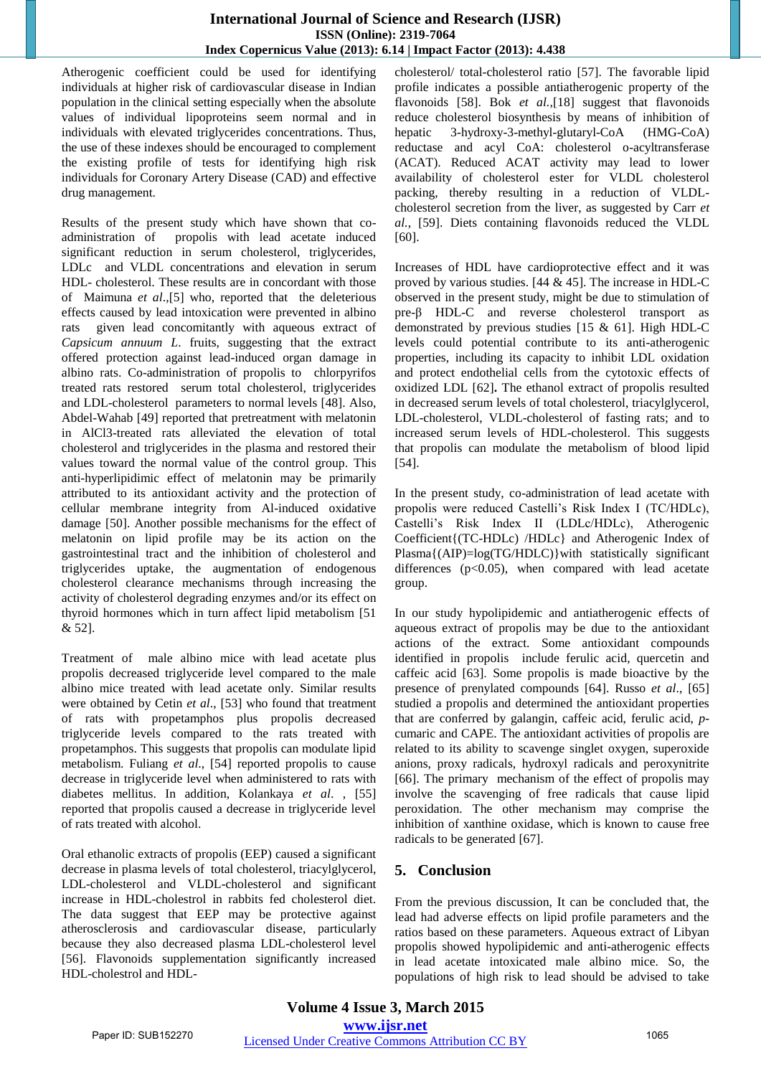Atherogenic coefficient could be used for identifying individuals at higher risk of cardiovascular disease in Indian population in the clinical setting especially when the absolute values of individual lipoproteins seem normal and in individuals with elevated triglycerides concentrations. Thus, the use of these indexes should be encouraged to complement the existing profile of tests for identifying high risk individuals for Coronary Artery Disease (CAD) and effective drug management.

Results of the present study which have shown that coadministration of propolis with lead acetate induced significant reduction in serum cholesterol, triglycerides, LDLc and VLDL concentrations and elevation in serum HDL- cholesterol. These results are in concordant with those of Maimuna *et al*.,[5] who, reported that the deleterious effects caused by lead intoxication were prevented in albino rats given lead concomitantly with aqueous extract of *Capsicum annuum L*. fruits, suggesting that the extract offered protection against lead-induced organ damage in albino rats. Co-administration of propolis to chlorpyrifos treated rats restored serum total cholesterol, triglycerides and LDL-cholesterol parameters to normal levels [48]. Also, Abdel-Wahab [49] reported that pretreatment with melatonin in AlCl3-treated rats alleviated the elevation of total cholesterol and triglycerides in the plasma and restored their values toward the normal value of the control group. This anti-hyperlipidimic effect of melatonin may be primarily attributed to its antioxidant activity and the protection of cellular membrane integrity from Al-induced oxidative damage [50]. Another possible mechanisms for the effect of melatonin on lipid profile may be its action on the gastrointestinal tract and the inhibition of cholesterol and triglycerides uptake, the augmentation of endogenous cholesterol clearance mechanisms through increasing the activity of cholesterol degrading enzymes and/or its effect on thyroid hormones which in turn affect lipid metabolism [51 & 52].

Treatment of male albino mice with lead acetate plus propolis decreased triglyceride level compared to the male albino mice treated with lead acetate only. Similar results were obtained by Cetin *et al*., [53] who found that treatment of rats with propetamphos plus propolis decreased triglyceride levels compared to the rats treated with propetamphos. This suggests that propolis can modulate lipid metabolism. Fuliang *et al*., [54] reported propolis to cause decrease in triglyceride level when administered to rats with diabetes mellitus. In addition, Kolankaya *et al*. , [55] reported that propolis caused a decrease in triglyceride level of rats treated with alcohol.

Oral ethanolic extracts of propolis (EEP) caused a significant decrease in plasma levels of total cholesterol, triacylglycerol, LDL-cholesterol and VLDL-cholesterol and significant increase in HDL-cholestrol in rabbits fed cholesterol diet. The data suggest that EEP may be protective against atherosclerosis and cardiovascular disease, particularly because they also decreased plasma LDL-cholesterol level [56]. Flavonoids supplementation significantly increased HDL-cholestrol and HDL-

cholesterol/ total-cholesterol ratio [57]. The favorable lipid profile indicates a possible antiatherogenic property of the flavonoids [58]. Bok *et al.,*[18] suggest that flavonoids reduce cholesterol biosynthesis by means of inhibition of hepatic 3-hydroxy-3-methyl-glutaryl-CoA (HMG-CoA) reductase and acyl CoA: cholesterol o-acyltransferase (ACAT). Reduced ACAT activity may lead to lower availability of cholesterol ester for VLDL cholesterol packing, thereby resulting in a reduction of VLDLcholesterol secretion from the liver, as suggested by Carr *et al.*, [59]. Diets containing flavonoids reduced the VLDL [60].

Increases of HDL have cardioprotective effect and it was proved by various studies. [44 & 45]. The increase in HDL-C observed in the present study, might be due to stimulation of pre-β HDL-C and reverse cholesterol transport as demonstrated by previous studies [15 & 61]. High HDL-C levels could potential contribute to its anti-atherogenic properties, including its capacity to inhibit LDL oxidation and protect endothelial cells from the cytotoxic effects of oxidized LDL [62]**.** The ethanol extract of propolis resulted in decreased serum levels of total cholesterol, triacylglycerol, LDL-cholesterol, VLDL-cholesterol of fasting rats; and to increased serum levels of HDL-cholesterol. This suggests that propolis can modulate the metabolism of blood lipid [54].

In the present study, co-administration of lead acetate with propolis were reduced Castelli's Risk Index I (TC/HDLc), Castelli's Risk Index II (LDLc/HDLc), Atherogenic Coefficient{(TC-HDLc) /HDLc} and Atherogenic Index of Plasma{(AIP)=log(TG/HDLC)}with statistically significant differences ( $p<0.05$ ), when compared with lead acetate group.

In our study hypolipidemic and antiatherogenic effects of aqueous extract of propolis may be due to the antioxidant actions of the extract. Some antioxidant compounds identified in propolis include ferulic acid, quercetin and caffeic acid [63]. Some propolis is made bioactive by the presence of prenylated compounds [64]. Russo *et al*., [65] studied a propolis and determined the antioxidant properties that are conferred by galangin, caffeic acid, ferulic acid, *p*cumaric and CAPE. The antioxidant activities of propolis are related to its ability to scavenge singlet oxygen, superoxide anions, proxy radicals, hydroxyl radicals and peroxynitrite [66]. The primary mechanism of the effect of propolis may involve the scavenging of free radicals that cause lipid peroxidation. The other mechanism may comprise the inhibition of xanthine oxidase, which is known to cause free radicals to be generated [67].

# **5. Conclusion**

From the previous discussion, It can be concluded that, the lead had adverse effects on lipid profile parameters and the ratios based on these parameters. Aqueous extract of Libyan propolis showed hypolipidemic and anti-atherogenic effects in lead acetate intoxicated male albino mice. So, the populations of high risk to lead should be advised to take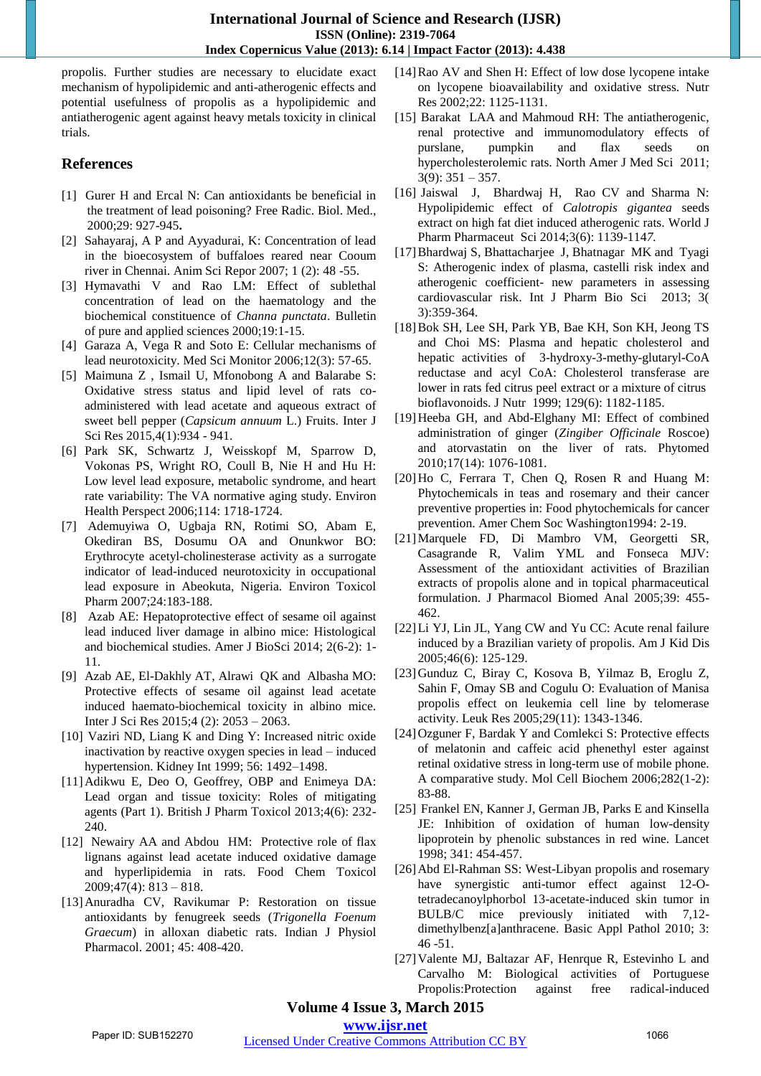propolis. Further studies are necessary to elucidate exact mechanism of hypolipidemic and anti-atherogenic effects and potential usefulness of propolis as a hypolipidemic and antiatherogenic agent against heavy metals toxicity in clinical trials.

# **References**

- [1] Gurer H and Ercal N: Can antioxidants be beneficial in the treatment of lead poisoning? Free Radic. Biol. Med., 2000;29: 927-945**.**
- [2] Sahayaraj, A P and Ayyadurai, K: Concentration of lead in the bioecosystem of buffaloes reared near Cooum river in Chennai. Anim Sci Repor 2007; 1 (2): 48 -55.
- [3] Hymavathi V and Rao LM: Effect of sublethal concentration of lead on the haematology and the biochemical constituence of *Channa punctata*. Bulletin of pure and applied sciences 2000;19:1-15.
- [4] Garaza A, Vega R and Soto E: Cellular mechanisms of lead neurotoxicity. Med Sci Monitor 2006;12(3): 57-65.
- [5] Maimuna Z , Ismail U, Mfonobong A and Balarabe S: Oxidative stress status and lipid level of rats coadministered with lead acetate and aqueous extract of sweet bell pepper (*Capsicum annuum* L.) Fruits. Inter J Sci Res 2015,4(1):934 - 941.
- [6] Park SK, Schwartz J, Weisskopf M, Sparrow D, Vokonas PS, Wright RO, Coull B, Nie H and Hu H: Low level lead exposure, metabolic syndrome, and heart rate variability: The VA normative aging study. Environ Health Perspect 2006;114: 1718-1724.
- [7] Ademuyiwa O, Ugbaja RN, Rotimi SO, Abam E, Okediran BS, Dosumu OA and Onunkwor BO: Erythrocyte acetyl-cholinesterase activity as a surrogate indicator of lead-induced neurotoxicity in occupational lead exposure in Abeokuta, Nigeria. Environ Toxicol Pharm 2007;24:183-188.
- [8] Azab AE: Hepatoprotective effect of sesame oil against lead induced liver damage in albino mice: Histological and biochemical studies. Amer J BioSci 2014; 2(6-2): 1- 11.
- [9] Azab AE, El-Dakhly AT, Alrawi QK and Albasha MO: Protective effects of sesame oil against lead acetate induced haemato-biochemical toxicity in albino mice. Inter J Sci Res 2015;4 (2): 2053 – 2063.
- [10] Vaziri ND, Liang K and Ding Y: Increased nitric oxide inactivation by reactive oxygen species in lead – induced hypertension. Kidney Int 1999; 56: 1492–1498.
- [11]Adikwu E, Deo O, Geoffrey, OBP and Enimeya DA: Lead organ and tissue toxicity: Roles of mitigating agents (Part 1). British J Pharm Toxicol 2013;4(6): 232- 240.
- [12] [Newairy](http://www.sciencedirect.com/science/article/pii/S027869150900026X) AA an[d Abdou](http://www.sciencedirect.com/science/article/pii/S027869150900026X) HM: Protective role of flax lignans against lead acetate induced oxidative damage and hyperlipidemia in rats. [Food Chem Toxicol](http://www.sciencedirect.com/science/journal/02786915) [2009;47\(4\)](http://www.sciencedirect.com/science/journal/02786915/47/4): 813 – 818.
- [13]Anuradha CV, Ravikumar P: Restoration on tissue antioxidants by fenugreek seeds (*Trigonella Foenum Graecum*) in alloxan diabetic rats. Indian J Physiol Pharmacol. 2001; 45: 408-420.
- [14]Rao AV and Shen H: Effect of low dose lycopene intake on lycopene bioavailability and oxidative stress. Nutr Res 2002;22: 1125-1131.
- [15] Barakat LAA and Mahmoud RH: The antiatherogenic, renal protective and immunomodulatory effects of purslane, pumpkin and flax seeds on hypercholesterolemic rats. North Amer J Med Sci 2011;  $3(9)$ :  $351 - 357$ .
- [16] Jaiswal J, Bhardwaj H, Rao CV and Sharma N: Hypolipidemic effect of *Calotropis gigantea* seeds extract on high fat diet induced atherogenic rats. World J Pharm Pharmaceut Sci 2014;3(6): 1139-114*7.*
- [17] Bhardwaj S, Bhattacharjee J, Bhatnagar MK and Tyagi S: Atherogenic index of plasma, castelli risk index and atherogenic coefficient- new parameters in assessing cardiovascular risk. Int J Pharm Bio Sci 2013; 3( 3):359-364.
- [18]Bok SH, Lee SH, Park YB, Bae KH, Son KH, Jeong TS and Choi MS: Plasma and hepatic cholesterol and hepatic activities of 3-hydroxy-3-methy-glutaryl-CoA reductase and acyl CoA: Cholesterol transferase are lower in rats fed citrus peel extract or a mixture of citrus bioflavonoids. J Nutr 1999; 129(6): 1182-1185.
- [19]Heeba GH, and Abd-Elghany MI: Effect of combined administration of ginger (*Zingiber Officinale* Roscoe) and atorvastatin on the liver of rats. Phytomed 2010;17(14): 1076-1081.
- [20]Ho C, Ferrara T, Chen Q, Rosen R and Huang M: Phytochemicals in teas and rosemary and their cancer preventive properties in: Food phytochemicals for cancer prevention. Amer Chem Soc Washington1994: 2-19.
- [21]Marquele FD, Di Mambro VM, Georgetti SR, Casagrande R, Valim YML and Fonseca MJV: Assessment of the antioxidant activities of Brazilian extracts of propolis alone and in topical pharmaceutical formulation. J Pharmacol Biomed Anal 2005;39: 455- 462.
- [22]Li YJ, Lin JL, Yang CW and Yu CC: Acute renal failure induced by a Brazilian variety of propolis. Am J Kid Dis 2005;46(6): 125-129.
- [23]Gunduz C, Biray C, Kosova B, Yilmaz B, Eroglu Z, Sahin F, Omay SB and Cogulu O: Evaluation of Manisa propolis effect on leukemia cell line by telomerase activity. Leuk Res 2005;29(11): 1343-1346.
- [24]Ozguner F, Bardak Y and Comlekci S: Protective effects of melatonin and caffeic acid phenethyl ester against retinal oxidative stress in long-term use of mobile phone. A comparative study. Mol Cell Biochem 2006;282(1-2): 83-88.
- [25] Frankel EN, Kanner J, German JB, Parks E and Kinsella JE: Inhibition of oxidation of human low-density lipoprotein by phenolic substances in red wine. Lancet 1998; 341: 454-457.
- [26] Abd El-Rahman SS: West-Libyan propolis and rosemary have synergistic anti-tumor effect against 12-Otetradecanoylphorbol 13-acetate-induced skin tumor in BULB/C mice previously initiated with 7,12 dimethylbenz[a]anthracene. Basic Appl Pathol 2010; 3: 46 -51.
- [27]Valente MJ, Baltazar AF, Henrque R, Estevinho L and Carvalho M: Biological activities of Portuguese Propolis:Protection against free radical-induced

# **Volume 4 Issue 3, March 2015**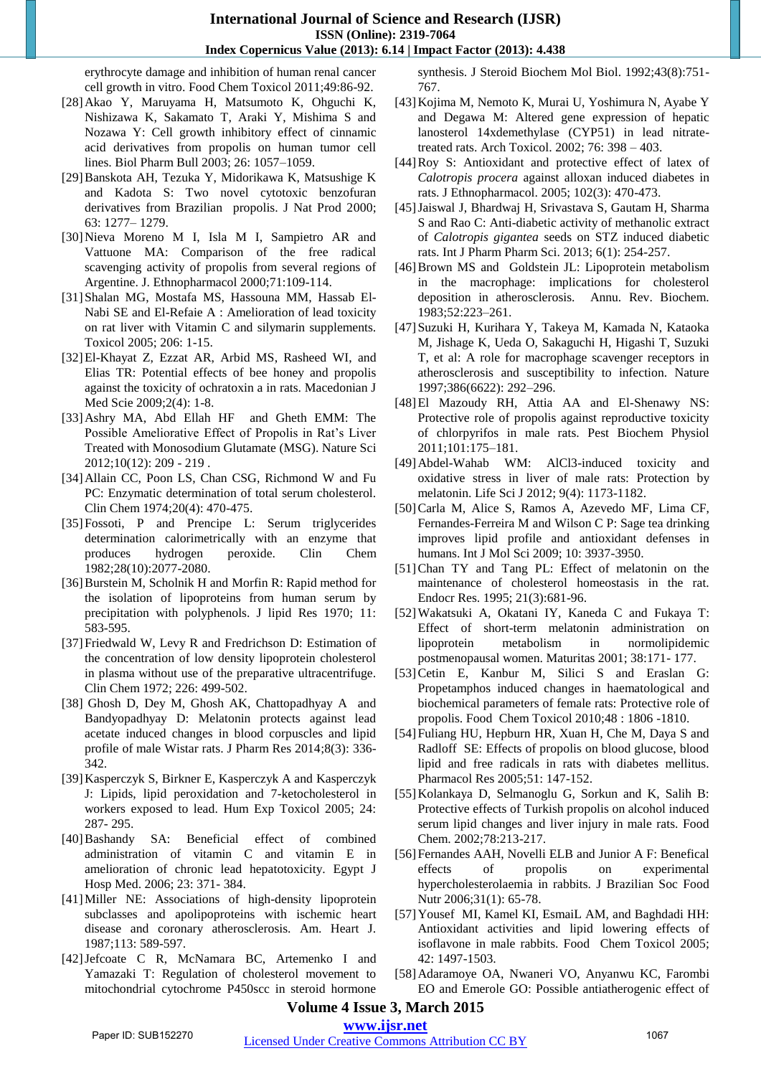erythrocyte damage and inhibition of human renal cancer cell growth in vitro. Food Chem Toxicol 2011;49:86-92.

- [28]Akao Y, Maruyama H, Matsumoto K, Ohguchi K, Nishizawa K, Sakamato T, Araki Y, Mishima S and Nozawa Y: Cell growth inhibitory effect of cinnamic acid derivatives from propolis on human tumor cell lines. Biol Pharm Bull 2003; 26: 1057–1059.
- [29]Banskota AH, Tezuka Y, Midorikawa K, Matsushige K and Kadota S: Two novel cytotoxic benzofuran derivatives from Brazilian propolis. J Nat Prod 2000; 63: 1277– 1279.
- [30]Nieva Moreno M I, Isla M I, Sampietro AR and Vattuone MA: Comparison of the free radical scavenging activity of propolis from several regions of Argentine. J. Ethnopharmacol 2000;71:109-114.
- [31]Shalan MG, Mostafa MS, Hassouna MM, Hassab El-Nabi SE and El-Refaie A : Amelioration of lead toxicity on rat liver with Vitamin C and silymarin supplements. Toxicol 2005; 206: 1-15.
- [32]El-Khayat Z, Ezzat AR, Arbid MS, Rasheed WI, and Elias TR: Potential effects of bee honey and propolis against the toxicity of ochratoxin a in rats. Macedonian J Med Scie 2009;2(4): 1-8.
- [33]Ashry MA, Abd Ellah HF and Gheth EMM: The Possible Ameliorative Effect of Propolis in Rat's Liver Treated with Monosodium Glutamate (MSG). Nature Sci 2012;10(12): 209 - 219 .
- [34]Allain CC, Poon LS, Chan CSG, Richmond W and Fu PC: Enzymatic determination of total serum cholesterol. Clin Chem 1974;20(4): 470-475.
- [35]Fossoti, P and Prencipe L: Serum triglycerides determination calorimetrically with an enzyme that produces hydrogen peroxide. Clin Chem 1982;28(10):2077-2080.
- [36] Burstein M, Scholnik H and Morfin R: Rapid method for the isolation of lipoproteins from human serum by precipitation with polyphenols. J lipid Res 1970; 11: 583-595.
- [37] Friedwald W, Levy R and Fredrichson D: Estimation of the concentration of low density lipoprotein cholesterol in plasma without use of the preparative ultracentrifuge. Clin Chem 1972; 226: 499-502.
- [38] Ghosh D, Dey M, Ghosh AK, Chattopadhyay A and Bandyopadhyay D: Melatonin protects against lead acetate induced changes in blood corpuscles and lipid profile of male Wistar rats. J Pharm Res 2014;8(3): 336- 342.
- [39]Kasperczyk S, Birkner E, Kasperczyk A and Kasperczyk J: Lipids, lipid peroxidation and 7-ketocholesterol in workers exposed to lead. Hum Exp Toxicol 2005; 24: 287- 295.
- [40]Bashandy SA: Beneficial effect of combined administration of vitamin C and vitamin E in amelioration of chronic lead hepatotoxicity. Egypt J Hosp Med. 2006; 23: 371- 384.
- [41]Miller NE: Associations of high-density lipoprotein subclasses and apolipoproteins with ischemic heart disease and coronary atherosclerosis. Am. Heart J. 1987;113: 589-597.
- [42]Jefcoate C R, McNamara BC, Artemenko I and Yamazaki T: Regulation of cholesterol movement to mitochondrial cytochrome P450scc in steroid hormone

synthesis. J Steroid Biochem Mol Biol. 1992;43(8):751- 767.

- [43]Kojima M, Nemoto K, Murai U, Yoshimura N, Ayabe Y and Degawa M: Altered gene expression of hepatic lanosterol 14xdemethylase (CYP51) in lead nitratetreated rats. Arch Toxicol. 2002; 76: 398 – 403.
- [44]Roy S: Antioxidant and protective effect of latex of *Calotropis procera* against alloxan induced diabetes in rats. J Ethnopharmacol. 2005; 102(3): 470-473.
- [45]Jaiswal J, Bhardwaj H, Srivastava S, Gautam H, Sharma S and Rao C: Anti-diabetic activity of methanolic extract of *Calotropis gigantea* seeds on STZ induced diabetic rats. Int J Pharm Pharm Sci. 2013; 6(1): 254-257.
- [46]Brown MS and Goldstein JL: Lipoprotein metabolism in the macrophage: implications for cholesterol deposition in atherosclerosis. Annu. Rev. Biochem. 1983;52:223–261.
- [47]Suzuki H, Kurihara Y, Takeya M, Kamada N, Kataoka M, Jishage K, Ueda O, Sakaguchi H, Higashi T, Suzuki T, et al: A role for macrophage scavenger receptors in atherosclerosis and susceptibility to infection. Nature 1997;386(6622): 292–296.
- [48]El Mazoudy RH, Attia AA and El-Shenawy NS: Protective role of propolis against reproductive toxicity of chlorpyrifos in male rats. Pest Biochem Physiol 2011;101:175–181.
- [49]Abdel-Wahab WM: AlCl3-induced toxicity and oxidative stress in liver of male rats: Protection by melatonin. Life Sci J 2012; 9(4): 1173-1182.
- [50]Carla M, Alice S, Ramos A, Azevedo MF, Lima CF, Fernandes-Ferreira M and Wilson C P: Sage tea drinking improves lipid profile and antioxidant defenses in humans. Int J Mol Sci 2009; 10: 3937-3950.
- [51]Chan TY and Tang PL: Effect of melatonin on the maintenance of cholesterol homeostasis in the rat. Endocr Res. 1995; 21(3):681-96.
- [52]Wakatsuki A, Okatani IY, Kaneda C and Fukaya T: Effect of short-term melatonin administration on lipoprotein metabolism in normolipidemic postmenopausal women. Maturitas 2001; 38:171- 177.
- [53]Cetin E, Kanbur M, Silici S and Eraslan G: Propetamphos induced changes in haematological and biochemical parameters of female rats: Protective role of propolis. Food Chem Toxicol 2010;48 : 1806 -1810.
- [54]Fuliang HU, Hepburn HR, Xuan H, Che M, Daya S and Radloff SE: Effects of propolis on blood glucose, blood lipid and free radicals in rats with diabetes mellitus. Pharmacol Res 2005;51: 147-152.
- [55]Kolankaya D, Selmanoglu G, Sorkun and K, Salih B: Protective effects of Turkish propolis on alcohol induced serum lipid changes and liver injury in male rats. Food Chem. 2002;78:213-217.
- [56] Fernandes AAH, Novelli ELB and Junior A F: Benefical effects of propolis on experimental hypercholesterolaemia in rabbits. J Brazilian Soc Food Nutr 2006;31(1): 65-78.
- [57]Yousef MI, Kamel KI, EsmaiL AM, and Baghdadi HH: Antioxidant activities and lipid lowering effects of isoflavone in male rabbits. Food Chem Toxicol 2005; 42: 1497-1503.
- [58]Adaramoye OA, Nwaneri VO, Anyanwu KC, Farombi EO and Emerole GO: Possible antiatherogenic effect of

# **Volume 4 Issue 3, March 2015**